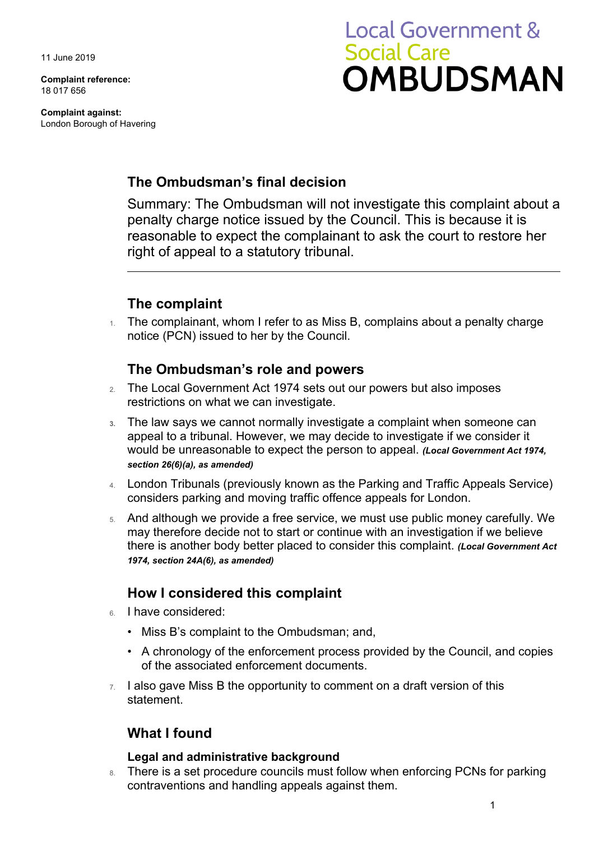11 June 2019

**Complaint reference:**  18 017 656

**Complaint against:**  London Borough of Havering

# **Local Government & Social Care OMBUDSMAN**

## **The Ombudsman's final decision**

Summary: The Ombudsman will not investigate this complaint about a penalty charge notice issued by the Council. This is because it is reasonable to expect the complainant to ask the court to restore her right of appeal to a statutory tribunal.

## **The complaint**

 $1.$  The complainant, whom I refer to as Miss B, complains about a penalty charge notice (PCN) issued to her by the Council.

## **The Ombudsman's role and powers**

- 2. The Local Government Act 1974 sets out our powers but also imposes restrictions on what we can investigate.
- **3.** The law says we cannot normally investigate a complaint when someone can appeal to a tribunal. However, we may decide to investigate if we consider it would be unreasonable to expect the person to appeal. *(Local Government Act 1974, section 26(6)(a), as amended)*
- 4. London Tribunals (previously known as the Parking and Traffic Appeals Service) considers parking and moving traffic offence appeals for London.
- 5. And although we provide a free service, we must use public money carefully. We may therefore decide not to start or continue with an investigation if we believe there is another body better placed to consider this complaint. *(Local Government Act 1974, section 24A(6), as amended)*

## **How I considered this complaint**

- 6. I have considered:
	- Miss B's complaint to the Ombudsman; and,
	- • A chronology of the enforcement process provided by the Council, and copies of the associated enforcement documents.
- $7.$  I also gave Miss B the opportunity to comment on a draft version of this statement.

## **What I found**

#### **Legal and administrative background**

8. There is a set procedure councils must follow when enforcing PCNs for parking contraventions and handling appeals against them.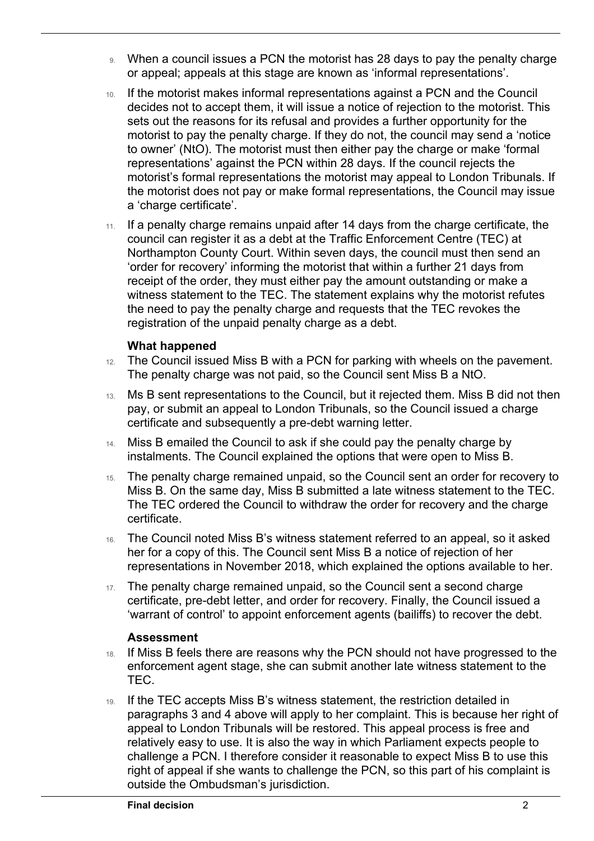- 9. When a council issues a PCN the motorist has 28 days to pay the penalty charge or appeal; appeals at this stage are known as 'informal representations'.
- 10. If the motorist makes informal representations against a PCN and the Council decides not to accept them, it will issue a notice of rejection to the motorist. This sets out the reasons for its refusal and provides a further opportunity for the motorist to pay the penalty charge. If they do not, the council may send a 'notice to owner' (NtO). The motorist must then either pay the charge or make 'formal representations' against the PCN within 28 days. If the council rejects the motorist's formal representations the motorist may appeal to London Tribunals. If the motorist does not pay or make formal representations, the Council may issue a 'charge certificate'.
- 11. If a penalty charge remains unpaid after 14 days from the charge certificate, the the need to pay the penalty charge and requests that the TEC revokes the council can register it as a debt at the Traffic Enforcement Centre (TEC) at Northampton County Court. Within seven days, the council must then send an 'order for recovery' informing the motorist that within a further 21 days from receipt of the order, they must either pay the amount outstanding or make a witness statement to the TEC. The statement explains why the motorist refutes registration of the unpaid penalty charge as a debt.

#### **What happened**

 $\overline{a}$ 

- 12. The Council issued Miss B with a PCN for parking with wheels on the pavement. The penalty charge was not paid, so the Council sent Miss B a NtO.
- certificate and subsequently a pre-debt warning letter. 13. Ms B sent representations to the Council, but it rejected them. Miss B did not then pay, or submit an appeal to London Tribunals, so the Council issued a charge
- 14. Miss B emailed the Council to ask if she could pay the penalty charge by instalments. The Council explained the options that were open to Miss B.
- The TEC ordered the Council to withdraw the order for recovery and the charge 15. The penalty charge remained unpaid, so the Council sent an order for recovery to Miss B. On the same day, Miss B submitted a late witness statement to the TEC. certificate.
- 16. The Council noted Miss B's witness statement referred to an appeal, so it asked her for a copy of this. The Council sent Miss B a notice of rejection of her representations in November 2018, which explained the options available to her.
- 17. The penalty charge remained unpaid, so the Council sent a second charge certificate, pre-debt letter, and order for recovery. Finally, the Council issued a 'warrant of control' to appoint enforcement agents (bailiffs) to recover the debt.

#### **Assessment**

- 18. If Miss B feels there are reasons why the PCN should not have progressed to the enforcement agent stage, she can submit another late witness statement to the TEC.
- outside the Ombudsman's jurisdiction. 19. If the TEC accepts Miss B's witness statement, the restriction detailed in paragraphs 3 and 4 above will apply to her complaint. This is because her right of appeal to London Tribunals will be restored. This appeal process is free and relatively easy to use. It is also the way in which Parliament expects people to challenge a PCN. I therefore consider it reasonable to expect Miss B to use this right of appeal if she wants to challenge the PCN, so this part of his complaint is